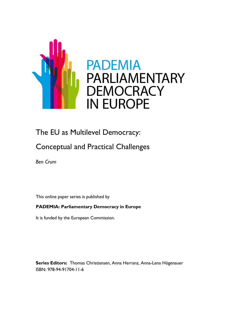

# The EU as Multilevel Democracy:

# Conceptual and Practical Challenges

*Ben Crum*

This online paper series is published by

## **PADEMIA: Parliamentary Democracy in Europe**

It is funded by the European Commission.

**Series Editors:** Thomas Christiansen, Anna Herranz, Anna-Lena Högenauer ISBN: 978-94-91704-11-6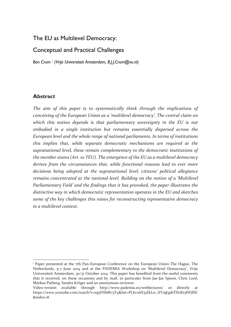# The EU as Multilevel Democracy:

# Conceptual and Practical Challenges

*Ben Crum <sup>1</sup> (Vrije Universiteit Amsterdam, B.J.J.Crum@vu.nl)*

## **Abstract**

-

*The aim of this paper is to systematically think through the implications of conceiving of the European Union as a 'multilevel democracy'. The central claim on which this notion depends is that parliamentary sovereignty in the EU is not embodied in a single institution but remains essentially dispersed across the European level and the whole range of national parliaments. In terms of institutions this implies that, while separate democratic mechanisms are required at the supranational level, these remain complementary to the democratic institutions of the member states (Art. 10 TEU). The emergence of the EU as a multilevel democracy derives from the circumstances that, while functional reasons lead to ever more decisions being adopted at the supranational level, citizens' political allegiance remains concentrated at the national level. Building on the notion of a 'Multilevel Parliamentary Field' and the findings that it has provoked, the paper illustrates the distinctive way in which democratic representation operates in the EU and sketches some of the key challenges this raises for reconstructing representative democracy in a multilevel context.*

<sup>&</sup>lt;sup>1</sup> Paper presented at the 7th Pan-European Conference on the European Union The Hague, The Netherlands, 5-7 June 2014 and at the PADEMIA Workshop on 'Multilevel Democracy', Vrije Universiteit Amsterdam, 30/31 October 2014. This paper has benefited from the useful comments that it received, on these occasions and by mail, in particular from Jae-Jae Spoon, Chris Lord, Markus Patberg, Sandra Kröger and an anonymous reviewer.

Video-version available through http://www.pademia.eu/weblectures/ or directly at https://www.youtube.com/watch?v=iq5HXb8U3T4&list=PLEcx6X31ZkLn\_1YU9J5pbTDcKt5lWjlSE &index=8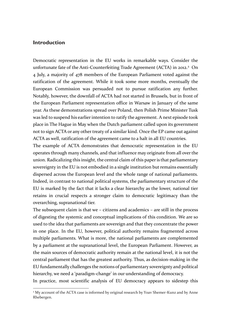### **Introduction**

-

Democratic representation in the EU works in remarkable ways. Consider the unfortunate fate of the Anti-Counterfeiting Trade Agreement (ACTA) in 2012.<sup>2</sup> On 4 July, a majority of 478 members of the European Parliament voted against the ratification of the agreement. While it took some more months, eventually the European Commission was persuaded not to pursue ratification any further. Notably, however, the downfall of ACTA had not started in Brussels, but in front of the European Parliament representation office in Warsaw in January of the same year. As these demonstrations spread over Poland, then Polish Prime Minister Tusk was led to suspend his earlier intention to ratify the agreement. A next episode took place in The Hague in May when the Dutch parliament called upon its government not to sign ACTA or any other treaty of a similar kind. Once the EP came out against ACTA as well, ratification of the agreement came to a halt in all EU countries.

The example of ACTA demonstrates that democratic representation in the EU operates through many channels, and that influence may originate from all over the union. Radicalizing this insight, the central claim of this paper is that parliamentary sovereignty in the EU is not embodied in a single institution but remains essentially dispersed across the European level and the whole range of national parliaments. Indeed, in contrast to national political systems, the parliamentary structure of the EU is marked by the fact that it lacks a clear hierarchy as the lower, national tier retains in crucial respects a stronger claim to democratic legitimacy than the overarching, supranational tier.

The subsequent claim is that we – citizens and academics – are still in the process of digesting the systemic and conceptual implications of this condition. We are so used to the idea that parliaments are sovereign and that they concentrate the power in one place. In the EU, however, political authority remains fragmented across multiple parliaments. What is more, the national parliaments are complemented by a parliament at the supranational level, the European Parliament. However, as the main sources of democratic authority remain at the national level, it is not the central parliament that has the greatest authority. Thus, as decision-making in the EU fundamentally challenges the notions of parliamentary sovereignty and political hierarchy, we need a 'paradigm-change' in our understanding of democracy.

In practice, most scientific analysis of EU democracy appears to sidestep this

<sup>&</sup>lt;sup>2</sup> My account of the ACTA case is informed by original research by Yoav Shemer-Kunz and by Anne Rhebergen.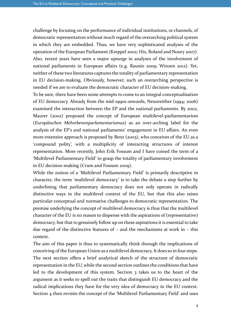challenge by focusing on the performance of individual institutions, or channels, of democratic representation without much regard of the overarching political system in which they are embedded. Thus, we have very sophisticated analyses of the operation of the European Parliament (Kreppel 2002; Hix, Roland and Noury 2007). Also, recent years have seen a major upsurge in analyses of the involvement of national parliaments in European affairs (e.g. Raunio 2009; Winzen 2012). Yet, neither of these two literatures captures the totality of parliamentary representation in EU decision-making. Obviously, however, such an overarching perspective is needed if we are to evaluate the democratic character of EU decision-making.

To be sure, there have been some attempts to come to an integral conceptualisation of EU democracy. Already from the mid-1990s onwards, Neunreither (1994; 2006) examined the interaction between the EP and the national parliaments. By 2002, Maurer (2002) proposed the concept of European multilevel-parliamentarism (*Europäischen Mehrebenenparlamentarismus*) as an over-arching label for the analysis of the EP's and national parliaments' engagement in EU affairs. An even more extensive approach is proposed by Benz (2003), who conceives of the EU as a 'compound polity', with a multiplicity of interacting structures of interest representation. More recently, John Erik Fossum and I have coined the term of a 'Multilevel Parliamentary Field' to grasp the totality of parliamentary involvement in EU decision-making (Crum and Fossum 2009).

While the notion of a 'Multilevel Parliamentary Field' is primarily descriptive in character, the term 'multilevel democracy' is to take the debate a step further by underlining that parliamentary democracy does not only operate in radically distinctive ways in the multilevel context of the EU, but that this also raises particular conceptual and normative challenges to democratic representation. The premise underlying the concept of multilevel democracy is thus that the multilevel character of the EU is no reason to dispense with the aspirations of (representative) democracy, but that to genuinely follow up on these aspirations it is essential to take due regard of the distinctive features of – and the mechanisms at work in – this context.

The aim of this paper is thus to systematically think through the implications of conceiving of the European Union as a multilevel democracy. It does so in four steps. The next section offers a brief analytical sketch of the structure of democratic representation in the EU, while the second section outlines the conditions that have led to the development of this system. Section 3 takes us to the heart of the argument as it seeks to spell out the traits that distinguish EU democracy and the radical implications they have for the very idea of democracy in the EU context. Section 4 then revisits the concept of the 'Multilevel Parliamentary Field' and uses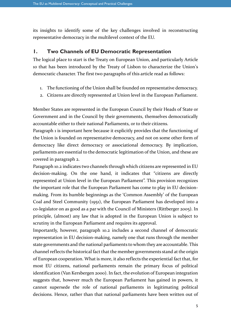its insights to identify some of the key challenges involved in reconstructing representative democracy in the multilevel context of the EU.

#### **1. Two Channels of EU Democratic Representation**

The logical place to start is the Treaty on European Union, and particularly Article 10 that has been introduced by the Treaty of Lisbon to characterize the Union's democratic character. The first two paragraphs of this article read as follows:

- 1. The functioning of the Union shall be founded on representative democracy.
- 2. Citizens are directly represented at Union level in the European Parliament.

Member States are represented in the European Council by their Heads of State or Government and in the Council by their governments, themselves democratically accountable either to their national Parliaments, or to their citizens.

Paragraph 1 is important here because it explicitly provides that the functioning of the Union is founded on representative democracy, and not on some other form of democracy like direct democracy or associational democracy. By implication, parliaments are essential to the democratic legitimation of the Union, and these are covered in paragraph 2.

Paragraph 10.2 indicates two channels through which citizens are represented in EU decision-making. On the one hand, it indicates that "citizens are directly represented at Union level in the European Parliament". This provision recognizes the important role that the European Parliament has come to play in EU decisionmaking. From its humble beginnings as the 'Common Assembly' of the European Coal and Steel Community (1951), the European Parliament has developed into a co-legislator on as good as a par with the Council of Ministers (Rittberger 2005). In principle, (almost) any law that is adopted in the European Union is subject to scrutiny in the European Parliament and requires its approval.

Importantly, however, paragraph 10.2 includes a second channel of democratic representation in EU decision-making, namely one that runs through the member state governments and the national parliaments to whom they are accountable. This channel reflects the historical fact that the member governments stand at the origin of European cooperation. What is more, it also reflects the experiential fact that, for most EU citizens, national parliaments remain the primary focus of political identification (Van Kersbergen 2000). In fact, the evolution of European integration suggests that, however much the European Parliament has gained in powers, it cannot supersede the role of national parliaments in legitimating political decisions. Hence, rather than that national parliaments have been written out of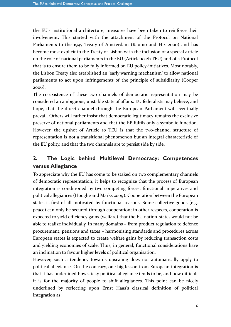the EU's institutional architecture, measures have been taken to reinforce their involvement. This started with the attachment of the Protocol on National Parliaments to the 1997 Treaty of Amsterdam (Raunio and Hix 2000) and has become most explicit in the Treaty of Lisbon with the inclusion of a special article on the role of national parliaments in the EU (Article 10.2b TEU) and of a Protocol that is to ensure them to be fully informed on EU policy-initiatives. Most notably, the Lisbon Treaty also established an 'early warning mechanism' to allow national parliaments to act upon infringements of the principle of subsidiarity (Cooper 2006).

The co-existence of these two channels of democratic representation may be considered an ambiguous, unstable state of affairs. EU federalists may believe, and hope, that the direct channel through the European Parliament will eventually prevail. Others will rather insist that democratic legitimacy remains the exclusive preserve of national parliaments and that the EP fulfils only a symbolic function. However, the upshot of Article 10 TEU is that the two-channel structure of representation is not a transitional phenomenon but an integral characteristic of the EU polity, and that the two channels are to persist side by side.

# **2. The Logic behind Multilevel Democracy: Competences versus Allegiance**

To appreciate why the EU has come to be staked on two complementary channels of democratic representation, it helps to recognize that the process of European integration is conditioned by two competing forces: functional imperatives and political allegiances (Hooghe and Marks 2009). Cooperation between the European states is first of all motivated by functional reasons. Some collective goods (e.g. peace) can only be secured through cooperation; in other respects, cooperation is expected to yield efficiency gains (welfare) that the EU nation-states would not be able to realize individually. In many domains – from product regulation to defence procurement, pensions and taxes – harmonising standards and procedures across European states is expected to create welfare gains by reducing transaction costs and yielding economies of scale. Thus, in general, functional considerations have an inclination to favour higher levels of political organisation.

However, such a tendency towards upscaling does not automatically apply to political allegiance. On the contrary, one big lesson from European integration is that it has underlined how sticky political allegiance tends to be, and how difficult it is for the majority of people to shift allegiances. This point can be nicely underlined by reflecting upon Ernst Haas's classical definition of political integration as: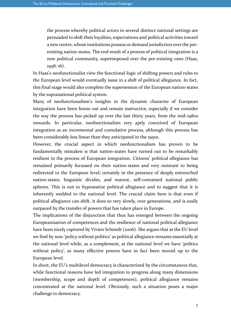the process whereby political actors in several distinct national settings are persuaded to shift their loyalties, expectations and political activities toward a new centre, whose institutions possess or demand jurisdiction over the preexisting nation-states. The end result of a process of political integration is a new political community, superimposed over the pre-existing ones (Haas, 1958: 16).

In Haas's neofunctionalist view the functional logic of shifting powers and rules to the European level would eventually issue in a shift of political allegiance. In fact, this final stage would also complete the supersession of the European nation-states by the supranational political system.

Many of neofunctionalism's insights in the dynamic character of European integration have been borne out and remain instructive, especially if we consider the way the process has picked up over the last thirty years, from the mid-1980s onwards. In particular, neofunctionalists very aptly conceived of European integration as an incremental and cumulative process, although this process has been considerably less linear than they anticipated in the 1950s.

However, the crucial aspect in which neofunctionalism has proven to be fundamentally mistaken is that nation-states have turned out to be remarkably resilient in the process of European integration. Citizens' political allegiance has remained primarily focussed on their nation-states and very resistant to being redirected to the European level; certainly in the presence of deeply entrenched nation-states, linguistic divides, and mature, self-contained national public spheres. This is not to hypostatize political allegiance and to suggest that it is inherently wedded to the national level. The crucial claim here is that even if political allegiance can shift, it does so very slowly, over generations, and is easily outpaced by the transfer of powers that has taken place in Europe.

The implications of the disjunction that thus has emerged between the ongoing Europeanisation of competences and the resilience of national political allegiance have been nicely captured by Vivien Schmidt (2006). She argues that at the EU level we find by now 'policy without politics' as political allegiance remains essentially at the national level while, as a complement, at the national level we have 'politics without policy', as many effective powers have in fact been moved up to the European level.

In short, the EU's multilevel democracy is characterized by the circumstances that, while functional reasons have led integration to progress along many dimensions (membership, scope and depth of competences), political allegiance remains concentrated at the national level. Obviously, such a situation poses a major challenge to democracy.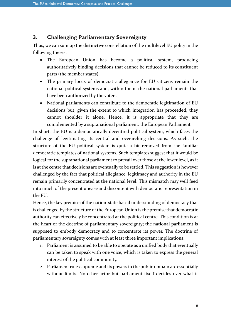### **3. Challenging Parliamentary Sovereignty**

Thus, we can sum up the distinctive constellation of the multilevel EU polity in the following theses:

- The European Union has become a political system, producing authoritatively binding decisions that cannot be reduced to its constituent parts (the member states).
- The primary locus of democratic allegiance for EU citizens remain the national political systems and, within them, the national parliaments that have been authorized by the voters.
- National parliaments can contribute to the democratic legitimation of EU decisions but, given the extent to which integration has proceeded, they cannot shoulder it alone. Hence, it is appropriate that they are complemented by a supranational parliament: the European Parliament.

In short, the EU is a democratically decentred political system, which faces the challenge of legitimating its central and overarching decisions. As such, the structure of the EU political system is quite a bit removed from the familiar democratic templates of national systems. Such templates suggest that it would be logical for the supranational parliament to prevail over those at the lower level, as it is at the centre that decisions are eventually to be settled. This suggestion is however challenged by the fact that political allegiance, legitimacy and authority in the EU remain primarily concentrated at the national level. This mismatch may well feed into much of the present unease and discontent with democratic representation in the EU.

Hence, the key premise of the nation-state based understanding of democracy that is challenged by the structure of the European Union is the premise that democratic authority can effectively be concentrated at the political centre. This condition is at the heart of the doctrine of parliamentary sovereignty; the national parliament is supposed to embody democracy and to concentrate its power. The doctrine of parliamentary sovereignty comes with at least three important implications:

- 1. Parliament is assumed to be able to operate as a unified body that eventually can be taken to speak with one voice, which is taken to express the general interest of the political community.
- 2. Parliament rules supreme and its powers in the public domain are essentially without limits. No other actor but parliament itself decides over what it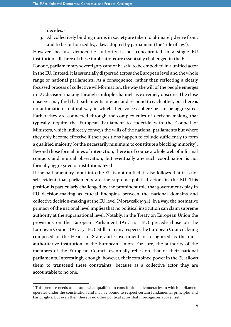decides.<sup>3</sup>

-

3. All collectively binding norms in society are taken to ultimately derive from, and to be authorized by, a law adopted by parliament (the 'rule of law').

However, because democratic authority is not concentrated in a single EU institution, all three of these implications are essentially challenged in the EU. For one, parliamentary sovereignty cannot be said to be embodied in a unified actor in the EU. Instead, it is essentially dispersed across the European level and the whole range of national parliaments. As a consequence, rather than reflecting a clearly focussed process of collective will-formation, the way the will of the people emerges in EU decision-making through multiple channels is extremely obscure. The close observer may find that parliaments interact and respond to each other, but there is no automatic or natural way in which their voices cohere or can be aggregated. Rather they are connected through the complex rules of decision-making that typically require the European Parliament to codecide with the Council of Ministers, which indirectly conveys the wills of the national parliaments but where they only become effective if their positions happen to collude sufficiently to form a qualified majority (or the necessarily minimum to constitute a blocking minority). Beyond those formal lines of interaction, there is of course a whole web of informal contacts and mutual observation, but eventually any such coordination is not formally aggregated or institutionalized.

If the parliamentary input into the EU is not unified, it also follows that it is not self-evident that parliaments are the supreme political actors in the EU. This position is particularly challenged by the prominent role that governments play in EU decision-making as crucial linchpins between the national domains and collective decision-making at the EU level (Moravcsik 1994). In a way, the normative primacy of the national level implies that no political institution can claim supreme authority at the supranational level. Notably, in the Treaty on European Union the provisions on the European Parliament (Art. 14 TEU) precede those on the European Council (Art. 15 TEU). Still, in many respects the European Council, being composed of the Heads of State and Government, is recognized as the most authoritative institution in the European Union. For sure, the authority of the members of the European Council eventually relies on that of their national parliaments. Interestingly enough, however, their combined power in the EU allows them to transcend these constraints, because as a collective actor they are accountable to no one.

<sup>&</sup>lt;sup>3</sup> This premise needs to be somewhat qualified in constitutional democracies in which parliament operates under the constitution and may be bound to respect certain fundamental principles and basic rights. But even then there is no other political actor that it recognizes above itself.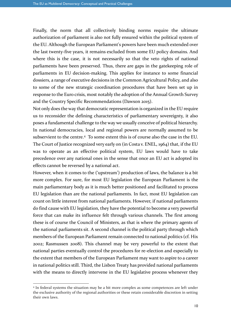Finally, the norm that all collectively binding norms require the ultimate authorization of parliament is also not fully ensured within the political system of the EU. Although the European Parliament's powers have been much extended over the last twenty-five years, it remains excluded from some EU policy domains. And where this is the case, it is not necessarily so that the veto rights of national parliaments have been preserved. Thus, there are gaps in the gatekeeping role of parliaments in EU decision-making. This applies for instance to some financial dossiers, a range of executive decisions in the Common Agricultural Policy, and also to some of the new strategic coordination procedures that have been set up in response to the Euro crisis, most notably the adoption of the Annual Growth Survey and the Country Specific Recommendations (Dawson 2015).

Not only does the way that democratic representation is organized in the EU require us to reconsider the defining characteristics of parliamentary sovereignty, it also poses a fundamental challenge to the way we usually conceive of political hierarchy. In national democracies, local and regional powers are normally assumed to be subservient to the centre.<sup>4</sup> To some extent this is of course also the case in the EU. The Court of Justice recognized very early on (in Costa v. ENEL, 1964) that, if the EU was to operate as an effective political system, EU laws would have to take precedence over any national ones in the sense that once an EU act is adopted its effects cannot be reversed by a national act.

However, when it comes to the ('upstream') production of laws, the balance is a bit more complex. For sure, for most EU legislation the European Parliament is the main parliamentary body as it is much better positioned and facilitated to process EU legislation than are the national parliaments. In fact, most EU legislation can count on little interest from national parliaments. However, if national parliaments do find cause with EU legislation, they have the potential to become a very powerful force that can make its influence felt through various channels. The first among these is of course the Council of Ministers, as that is where the primary agents of the national parliaments sit. A second channel is the political party through which members of the European Parliament remain connected to national politics (cf. Hix 2002; Rasmussen 2008). This channel may be very powerful to the extent that national parties eventually control the procedures for re-election and especially to the extent that members of the European Parliament may want to aspire to a career in national politics still. Third, the Lisbon Treaty has provided national parliaments with the means to directly intervene in the EU legislative process whenever they

-

<sup>4</sup> In federal systems the situation may be a bit more complex as some competences are left under the exclusive authority of the regional authorities or these retain considerable discretion in setting their own laws.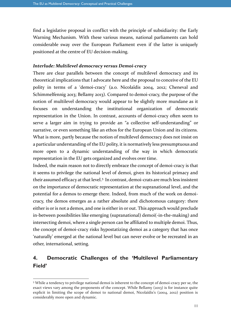find a legislative proposal in conflict with the principle of subsidiarity: the Early Warning Mechanism. With these various means, national parliaments can hold considerable sway over the European Parliament even if the latter is uniquely positioned at the centre of EU decision-making.

#### *Interlude: Multilevel democracy versus Demoi-cracy*

There are clear parallels between the concept of multilevel democracy and its theoretical implications that I advocate here and the proposal to conceive of the EU polity in terms of a 'demoi-cracy' (a.o. Nicolaïdis 2004, 2012; Cheneval and Schimmelfennig 2013; Bellamy 2013). Compared to demoi-cracy, the purpose of the notion of multilevel democracy would appear to be slightly more mundane as it focuses on understanding the institutional organization of democratic representation in the Union. In contrast, accounts of demoi-cracy often seem to serve a larger aim in trying to provide an "a collective self-understanding" or narrative, or even something like an ethos for the European Union and its citizens. What is more, partly because the notion of multilevel democracy does not insist on a particular understanding of the EU polity, it is normatively less presumptuous and more open to a dynamic understanding of the way in which democratic representation in the EU gets organized and evolves over time.

Indeed, the main reason not to directly embrace the concept of demoi-cracy is that it seems to privilege the national level of demoi, given its historical primacy and their assumed efficacy at that level.<sup>5</sup> In contrast, demoi-crats are much less insistent on the importance of democratic representation at the supranational level, and the potential for a demos to emerge there. Indeed, from much of the work on demoicracy, the demos emerges as a rather absolute and dichotomous category: there either is or is not a demos, and one is either in or out. This approach would preclude in-between possibilities like emerging (supranational) demoi(-in-the-making) and intersecting demoi, where a single person can be affiliated to multiple demoi. Thus, the concept of demoi-cracy risks hypostatizing demoi as a category that has once 'naturally' emerged at the national level but can never evolve or be recreated in an other, international, setting.

# **4. Democratic Challenges of the 'Multilevel Parliamentary Field'**

-

<sup>5</sup> While a tendency to privilege national demoi is inherent to the concept of demoi-cracy per se, the exact views vary among the proponents of the concept. While Bellamy (2013) is for instance quite explicit in limiting the scope of demoi to national demoi, Nicolaïdis's (2004, 2012) position is considerably more open and dynamic.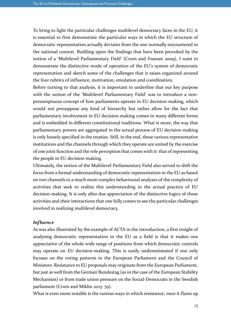To bring to light the particular challenges multilevel democracy faces in the EU, it is essential to first demonstrate the particular ways in which the EU structure of democratic representation actually deviates from the one normally encountered in the national context. Building upon the findings that have been provoked by the notion of a 'Multilevel Parliamentary Field' (Crum and Fossum 2009), I want to demonstrate the distinctive mode of operation of the EU's system of democratic representation and sketch some of the challenges that it raises organized around the four rubrics of influence, motivation, emulation and coordination.

Before turning to that analysis, it is important to underline that our key purpose with the notion of the 'Multilevel Parliamentary Field' was to introduce a nonpresumptuous concept of how parliaments operate in EU decision-making, which would not presuppose any kind of hierarchy but rather allow for the fact that parliamentary involvement in EU decision-making comes in many different forms and is embedded in different constitutional traditions. What is more, the way that parliamentary powers are aggregated in the actual process of EU decision-making is only loosely specified in the treaties. Still, in the end, these various representative institutions and the channels through which they operate are united by the exercise of one joint function and the role perception that comes with it: that of representing the people in EU decision-making.

Ultimately, the notion of the Multilevel Parliamentary Field also served to shift the focus from a formal understanding of democratic representation in the EU as based on two channels to a much more complex behavioural analyses of the complexity of activities that seek to realize this understanding in the actual practice of EU decision-making. It is only after due appreciation of the distinctive logics of these activities and their interactions that one fully comes to see the particular challenges involved in realizing multilevel democracy.

#### *Influence*

As was also illustrated by the example of ACTA in the introduction, a first insight of analysing democratic representation in the EU as a field is that it makes one appreciative of the whole wide range of positions from which democratic controls may operate on EU decision-making. This is easily underestimated if one only focuses on the voting patterns in the European Parliament and the Council of Ministers. Resistance to EU proposals may originate from the European Parliament, but just as well from the German Bundestag (as in the case of the European Stability Mechanism) or from trade union pressure on the Social-Democrats in the Swedish parliament (Crum and Miklin 2013: 79).

What is even more notable is the various ways in which resistance, once it flares up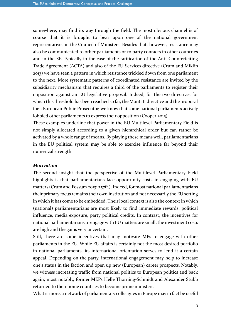somewhere, may find its way through the field. The most obvious channel is of course that it is brought to bear upon one of the national government representatives in the Council of Ministers. Besides that, however, resistance may also be communicated to other parliaments or to party contacts in other countries and in the EP. Typically in the case of the ratification of the Anti-Counterfeiting Trade Agreement (ACTA) and also of the EU Services directive (Crum and Miklin 2013) we have seen a pattern in which resistance trickled down from one parliament to the next. More systematic patterns of coordinated resistance are invited by the subsidiarity mechanism that requires a third of the parliaments to register their opposition against an EU legislative proposal. Indeed, for the two directives for which this threshold has been reached so far, the Monti II directive and the proposal for a European Public Prosecutor, we know that some national parliaments actively lobbied other parliaments to express their opposition (Cooper 2015).

These examples underline that power in the EU Multilevel Parliamentary Field is not simply allocated according to a given hierarchical order but can rather be activated by a whole range of means. By playing these means well, parliamentarians in the EU political system may be able to exercise influence far beyond their numerical strength.

#### *Motivation*

The second insight that the perspective of the Multilevel Parliamentary Field highlights is that parliamentarians face opportunity costs in engaging with EU matters (Crum and Fossum 2013: 257ff.). Indeed, for most national parliamentarians their primary focus remains their own institution and not necessarily the EU setting in which it has come to be embedded. Their local context is also the context in which (national) parliamentarians are most likely to find immediate rewards: political influence, media exposure, party political credits. In contrast, the incentives for national parliamentarians to engage with EU matters are small: the investment costs are high and the gains very uncertain.

Still, there are some incentives that may motivate MPs to engage with other parliaments in the EU. While EU affairs is certainly not the most desired portfolio in national parliaments, its international orientation serves to lend it a certain appeal. Depending on the party, international engagement may help to increase one's status in the faction and open up new (European) career prospects. Notably, we witness increasing traffic from national politics to European politics and back again; most notably, former MEPs Helle Thorning-Schmidt and Alexander Stubb returned to their home countries to become prime ministers.

What is more, a network of parliamentary colleagues in Europe may in fact be useful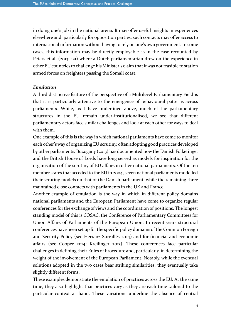in doing one's job in the national arena. It may offer useful insights in experiences elsewhere and, particularly for opposition parties, such contacts may offer access to international information without having to rely on one's own government. In some cases, this information may be directly employable as in the case recounted by Peters et al. (2013: 121) where a Dutch parliamentarian drew on the experience in other EU countries to challenge his Minister's claim that it was not feasible to station armed forces on freighters passing the Somali coast.

#### *Emulation*

A third distinctive feature of the perspective of a Multilevel Parliamentary Field is that it is particularly attentive to the emergence of behavioural patterns across parliaments. While, as I have underlined above, much of the parliamentary structures in the EU remain under-institutionalised, we see that different parliamentary actors face similar challenges and look at each other for ways to deal with them.

One example of this is the way in which national parliaments have come to monitor each other's way of organizing EU scrutiny, often adopting good practices developed by other parliaments. Buzogány (2013) has documented how the Danish Folketinget and the British House of Lords have long served as models for inspiration for the organisation of the scrutiny of EU affairs in other national parliaments. Of the ten member states that acceded to the EU in 2004, seven national parliaments modelled their scrutiny models on that of the Danish parliament, while the remaining three maintained close contacts with parliaments in the UK and France.

Another example of emulation is the way in which in different policy domains national parliaments and the European Parliament have come to organize regular conferences for the exchange of views and the coordination of positions. The longest standing model of this is COSAC, the Conference of Parliamentary Committees for Union Affairs of Parliaments of the European Union. In recent years structural conferences have been set up for the specific policy domains of the Common Foreign and Security Policy (see Herranz-Surrallés 2014) and for financial and economic affairs (see Cooper 2014; Kreilinger 2013). These conferences face particular challenges in defining their Rules of Procedure and, particularly, in determining the weight of the involvement of the European Parliament. Notably, while the eventual solutions adopted in the two cases bear striking similarities, they eventually take slightly different forms.

These examples demonstrate the emulation of practices across the EU. At the same time, they also highlight that practices vary as they are each time tailored to the particular context at hand. These variations underline the absence of central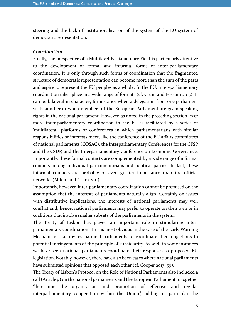steering and the lack of institutionalisation of the system of the EU system of democratic representation.

#### *Coordination*

Finally, the perspective of a Multilevel Parliamentary Field is particularly attentive to the development of formal and informal forms of inter-parliamentary coordination. It is only through such forms of coordination that the fragmented structure of democratic representation can become more than the sum of the parts and aspire to represent the EU peoples as a whole. In the EU, inter-parliamentary coordination takes place in a wide range of formats (cf. Crum and Fossum 2013). It can be bilateral in character; for instance when a delegation from one parliament visits another or when members of the European Parliament are given speaking rights in the national parliament. However, as noted in the preceding section, ever more inter-parliamentary coordination in the EU is facilitated by a series of 'multilateral' platforms or conferences in which parliamentarians with similar responsibilities or interests meet, like the conference of the EU affairs committees of national parliaments (COSAC), the Interparliamentary Conferences for the CFSP and the CSDP, and the Interparliamentary Conference on Economic Governance. Importantly, these formal contacts are complemented by a wide range of informal contacts among individual parliamentarians and political parties. In fact, these informal contacts are probably of even greater importance than the official networks (Miklin and Crum 2011).

Importantly, however, inter-parliamentary coordination cannot be premised on the assumption that the interests of parliaments naturally align. Certainly on issues with distributive implications, the interests of national parliaments may well conflict and, hence, national parliaments may prefer to operate on their own or in coalitions that involve smaller subsets of the parliaments in the system.

The Treaty of Lisbon has played an important role in stimulating interparliamentary coordination. This is most obvious in the case of the Early Warning Mechanism that invites national parliaments to coordinate their objections to potential infringements of the principle of subsidiarity. As said, in some instances we have seen national parliaments coordinate their responses to proposed EU legislation. Notably, however, there have also been cases where national parliaments have submitted opinions that opposed each other (cf. Cooper 2013: 59).

The Treaty of Lisbon's Protocol on the Role of National Parliaments also included a call (Article 9) on the national parliaments and the European Parliament to together "determine the organisation and promotion of effective and regular interparliamentary cooperation within the Union", adding in particular the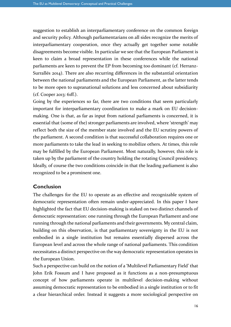suggestion to establish an interparliamentary conference on the common foreign and security policy. Although parliamentarians on all sides recognize the merits of interparliamentary cooperation, once they actually get together some notable disagreements become visible. In particular we see that the European Parliament is keen to claim a broad representation in these conferences while the national parliaments are keen to prevent the EP from becoming too dominant (cf. Herranz-Surrallés 2014). There are also recurring differences in the substantial orientation between the national parliaments and the European Parliament, as the latter tends to be more open to supranational solutions and less concerned about subsidiarity (cf. Cooper 2013: 61ff.).

Going by the experiences so far, there are two conditions that seem particularly important for interparliamentary coordination to make a mark on EU decisionmaking. One is that, as far as input from national parliaments is concerned, it is essential that (some of the) stronger parliaments are involved, where 'strength' may reflect both the size of the member state involved and the EU scrutiny powers of the parliament. A second condition is that successful collaboration requires one or more parliaments to take the lead in seeking to mobilize others. At times, this role may be fulfilled by the European Parliament. Most naturally, however, this role is taken up by the parliament of the country holding the rotating Council presidency. Ideally, of course the two conditions coincide in that the leading parliament is also recognized to be a prominent one.

## **Conclusion**

The challenges for the EU to operate as an effective and recognizable system of democratic representation often remain under-appreciated. In this paper I have highlighted the fact that EU decision-making is staked on two distinct channels of democratic representation: one running through the European Parliament and one running through the national parliaments and their governments. My central claim, building on this observation, is that parliamentary sovereignty in the EU is not embodied in a single institution but remains essentially dispersed across the European level and across the whole range of national parliaments. This condition necessitates a distinct perspective on the way democratic representation operates in the European Union.

Such a perspective can build on the notion of a 'Multilevel Parliamentary Field' that John Erik Fossum and I have proposed as it functions as a non-presumptuous concept of how parliaments operate in multilevel decision-making without assuming democratic representation to be embodied in a single institution or to fit a clear hierarchical order. Instead it suggests a more sociological perspective on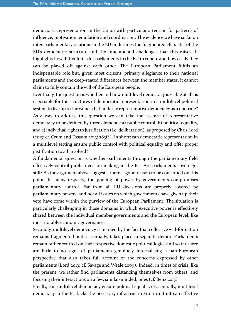democratic representation in the Union with particular attention for patterns of influence, motivation, emulation and coordination. The evidence we have so far on inter-parliamentary relations in the EU underlines the fragmented character of the EU's democratic structure and the fundamental challenges that this raises. It highlights how difficult it is for parliaments in the EU to cohere and how easily they can be played off against each other. The European Parliament fulfils an indispensable role but, given most citizens' primary allegiance to their national parliaments and the deep-seated differences between the member states, it cannot claim to fully contain the will of the European people.

Eventually, the question is whether and how multilevel democracy is viable at all: is it possible for the structures of democratic representation in a multilevel political system to live up to the values that underlie representative democracy as a doctrine? As a way to address this question we can take the essence of representative democracy to be defined by three elements: a) public control, b) political equality, and c) individual rights to justification (i.e. deliberation), as proposed by Chris Lord (2013; cf. Crum and Fossum 2013: 263ff.). In short: can democratic representation in a multilevel setting ensure public control with political equality and offer proper justification to all involved?

A fundamental question is whether parliaments through the parliamentary field effectively control public decision-making in the EU. Are parliaments sovereign, still? As the argument above suggests, there is good reason to be concerned on this point. In many respects, the pooling of power by governments compromises parliamentary control. Far from all EU decisions are properly covered by parliamentary powers, and not all issues on which governments have given up their veto have come within the purview of the European Parliament. The situation is particularly challenging in those domains in which executive power is effectively shared between the individual member governments and the European level, like most notably economic governance.

Secondly, multilevel democracy is marked by the fact that collective will-formation remains fragmented and, essentially, takes place in separate demoi. Parliaments remain rather centred on their respective domestic political logics and so far there are little to no signs of parliaments genuinely internalising a pan-European perspective that also takes full account of the concerns expressed by other parliaments (Lord 2013; cf. Savage and Weale 2009). Indeed, in times of crisis, like the present, we rather find parliaments distancing themselves from others, and focusing their interactions on a few, similar-minded, ones (cf. Benz 2013).

Finally, can multilevel democracy ensure political equality? Essentially, multilevel democracy in the EU lacks the necessary infrastructure to turn it into an effective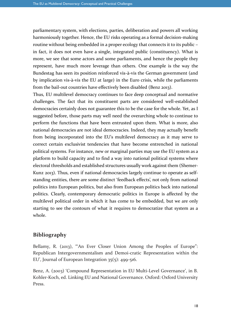parliamentary system, with elections, parties, deliberation and powers all working harmoniously together. Hence, the EU risks operating as a formal decision-making routine without being embedded in a proper ecology that connects it to its public – in fact, it does not even have a single, integrated public (constituency). What is more, we see that some actors and some parliaments, and hence the people they represent, have much more leverage than others. One example is the way the Bundestag has seen its position reinforced vis-à-vis the German government (and by implication vis-à-vis the EU at large) in the Euro crisis, while the parliaments from the bail-out countries have effectively been disabled (Benz 2013).

Thus, EU multilevel democracy continues to face deep conceptual and normative challenges. The fact that its constituent parts are considered well-established democracies certainly does not guarantee this to be the case for the whole. Yet, as I suggested before, those parts may well need the overarching whole to continue to perform the functions that have been entrusted upon them. What is more, also national democracies are not ideal democracies. Indeed, they may actually benefit from being incorporated into the EU's multilevel democracy as it may serve to correct certain exclusivist tendencies that have become entrenched in national political systems. For instance, new or marginal parties may use the EU system as a platform to build capacity and to find a way into national political systems where electoral thresholds and established structures usually work against them (Shemer-Kunz 2013). Thus, even if national democracies largely continue to operate as selfstanding entities, there are some distinct 'feedback effects', not only from national politics into European politics, but also from European politics back into national politics. Clearly, contemporary democratic politics in Europe is affected by the multilevel political order in which it has come to be embedded, but we are only starting to see the contours of what it requires to democratize that system as a whole.

## **Bibliography**

Bellamy, R. (2013), "An Ever Closer Union Among the Peoples of Europe": Republican Intergovernmentalism and Demoi-cratic Representation within the EU', Journal of European Integration 35(5): 499-516.

Benz, A. (2003) 'Compound Representation in EU Multi-Level Governance', in B. Kohler-Koch, ed. Linking EU and National Governance. Oxford: Oxford University Press.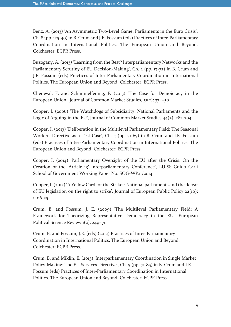Benz, A. (2013) 'An Asymmetric Two-Level Game: Parliaments in the Euro Crisis', Ch. 8 (pp. 125-40) in B. Crum and J.E. Fossum (eds) Practices of Inter-Parliamentary Coordination in International Politics. The European Union and Beyond. Colchester: ECPR Press.

Buzogány, A. (2013) 'Learning from the Best? Interparliamentary Networks and the Parliamentary Scrutiny of EU Decision-Making', Ch. 2 (pp. 17-32) in B. Crum and J.E. Fossum (eds) Practices of Inter-Parliamentary Coordination in International Politics. The European Union and Beyond. Colchester: ECPR Press.

Cheneval, F. and Schimmelfennig, F. (2013) 'The Case for Demoicracy in the European Union', Journal of Common Market Studies, 51(2): 334–50

Cooper, I. (2006) 'The Watchdogs of Subsidiarity: National Parliaments and the Logic of Arguing in the EU', Journal of Common Market Studies 44(2): 281–304.

Cooper, I. (2013) 'Deliberation in the Multilevel Parliamentary Field: The Seasonal Workers Directive as a Test Case', Ch. 4 (pp. 51-67) in B. Crum and J.E. Fossum (eds) Practices of Inter-Parliamentary Coordination in International Politics. The European Union and Beyond. Colchester: ECPR Press.

Cooper, I. (2014) 'Parliamentary Oversight of the EU after the Crisis: On the Creation of the 'Article 13' Interparliamentary Conference', LUISS Guido Carli School of Government Working Paper No. SOG-WP21/2014.

Cooper, I. (2015) 'A Yellow Card for the Striker: National parliaments and the defeat of EU legislation on the right to strike', Journal of European Public Policy 22(10): 1406-25.

Crum, B. and Fossum, J. E. (2009) 'The Multilevel Parliamentary Field: A Framework for Theorizing Representative Democracy in the EU', European Political Science Review 1(2): 249–71.

Crum, B. and Fossum, J.E. (eds) (2013) Practices of Inter-Parliamentary Coordination in International Politics. The European Union and Beyond. Colchester: ECPR Press.

Crum, B. and Miklin, E. (2013) 'Interparliamentary Coordination in Single Market Policy-Making: The EU Services Directive', Ch. 5 (pp. 71-85) in B. Crum and J.E. Fossum (eds) Practices of Inter-Parliamentary Coordination in International Politics. The European Union and Beyond. Colchester: ECPR Press.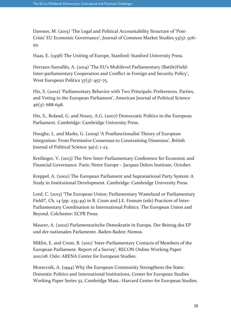Dawson, M. (2015) 'The Legal and Political Accountability Structure of 'Post-Crisis' EU Economic Governance', Journal of Common Market Studies 53(5): 976– 93.

Haas, E. (1958) The Uniting of Europe, Stanford: Stanford University Press.

Herranz-Surrallés, A. (2014) 'The EU's Multilevel Parliamentary (Battle)Field: Inter-parliamentary Cooperation and Conflict in Foreign and Security Policy', West European Politics 37(5): 957-75.

Hix, S. (2002) 'Parliamentary Behavior with Two Principals: Preferences, Parties, and Voting in the European Parliament', American Journal of Political Science  $46(3)$ : 688-698.

Hix, S., Roland, G. and Noury, A.G. (2007) Democratic Politics in the European Parliament. Cambridge: Cambridge University Press.

Hooghe, L. and Marks, G. (2009) 'A Postfunctionalist Theory of European Integration: From Permissive Consensus to Constraining Dissensus', British Journal of Political Science 39(1): 1-23.

Kreilinger, V. (2013) The New Inter-Parliamentary Conference for Economic and Financial Governance. Paris: Notre Europe – Jacques Delors Institute, October.

Kreppel, A. (2002) The European Parliament and Supranational Party System: A Study in Institutional Development. Cambridge: Cambridge University Press.

Lord, C. (2013) 'The European Union: Parliamentary Wasteland or Parliamentary Field?', Ch. 14 (pp. 235-49) in B. Crum and J.E. Fossum (eds) Practices of Inter-Parliamentary Coordination in International Politics. The European Union and Beyond. Colchester: ECPR Press.

Maurer, A. (2002) Parlamentarische Demokratie in Europa. Der Beitrag des EP und der nationalen Parlamente. Baden-Baden: Nomos.

Miklin, E. and Crum, B. (2011) 'Inter-Parliamentary Contacts of Members of the European Parliament. Report of a Survey', RECON Online Working Paper 2011/08. Oslo: ARENA Center for European Studies.

Moravcsik, A. (1994) Why the European Community Strengthens the State: Domestic Politics and International Institutions, Center for European Studies Working Paper Series 52, Cambridge Mass.: Harvard Center for European Studies.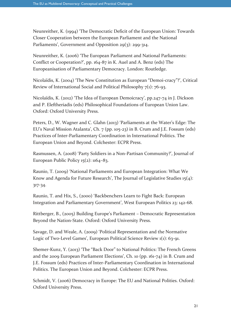Neunreither, K. (1994) 'The Democratic Deficit of the European Union: Towards Closer Cooperation between the European Parliament and the National Parliaments', Government and Opposition 29(3): 299-314.

Neunreither, K. (2006) 'The European Parliament and National Parliaments: Conflict or Cooperation?', pp. 164-87 in K. Auel and A. Benz (eds) The Europeanisation of Parliamentary Democracy. London: Routledge.

Nicolaïdis, K. (2004) 'The New Constitution as European "Demoi-cracy"?', Critical Review of International Social and Political Philosophy 7(1): 76-93.

Nicolaïdis, K. (2012) 'The Idea of European Demoicracy', pp.247-74 in J. Dickson and P. Eleftheriadis (eds) Philosophical Foundations of European Union Law. Oxford: Oxford University Press.

Peters, D., W. Wagner and C. Glahn (2013) 'Parliaments at the Water's Edge: The EU's Naval Mission Atalanta', Ch. 7 (pp. 105-23) in B. Crum and J.E. Fossum (eds) Practices of Inter-Parliamentary Coordination in International Politics. The European Union and Beyond. Colchester: ECPR Press.

Rasmussen, A. (2008) 'Party Soldiers in a Non-Partisan Community?', Journal of European Public Policy  $15(2)$ :  $1164-83$ .

Raunio, T. (2009) 'National Parliaments and European Integration: What We Know and Agenda for Future Research', The Journal of Legislative Studies 15(4): 317-34.

Raunio, T. and Hix, S., (2000) 'Backbenchers Learn to Fight Back: European Integration and Parliamentary Government', West European Politics 23: 142-68.

Rittberger, B., (2005) Building Europe's Parliament – Democratic Representation Beyond the Nation-State. Oxford: Oxford University Press.

Savage, D. and Weale, A. (2009) 'Political Representation and the Normative Logic of Two-Level Games', European Political Science Review 1(1): 63-91.

Shemer-Kunz, Y. (2013) 'The "Back Door" to National Politics: The French Greens and the 2009 European Parliament Elections', Ch. 10 (pp. 161-74) in B. Crum and J.E. Fossum (eds) Practices of Inter-Parliamentary Coordination in International Politics. The European Union and Beyond. Colchester: ECPR Press.

Schmidt, V. (2006) Democracy in Europe: The EU and National Polities. Oxford: Oxford University Press.